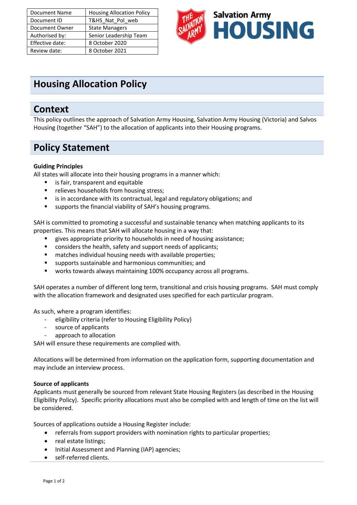| Document Name   | <b>Housing Allocation Policy</b> |
|-----------------|----------------------------------|
| Document ID     | T&HS_Nat_Pol_web                 |
| Document Owner  | <b>State Managers</b>            |
| Authorised by:  | Senior Leadership Team           |
| Effective date: | 8 October 2020                   |
| Review date:    | 8 October 2021                   |



# **Housing Allocation Policy**

### **Context**

This policy outlines the approach of Salvation Army Housing, Salvation Army Housing (Victoria) and Salvos Housing (together "SAH") to the allocation of applicants into their Housing programs.

## **Policy Statement**

#### **Guiding Principles**

All states will allocate into their housing programs in a manner which:

- is fair, transparent and equitable
- relieves households from housing stress:
- is in accordance with its contractual, legal and regulatory obligations; and
- supports the financial viability of SAH's housing programs.

SAH is committed to promoting a successful and sustainable tenancy when matching applicants to its properties. This means that SAH will allocate housing in a way that:

- gives appropriate priority to households in need of housing assistance;
- considers the health, safety and support needs of applicants;
- matches individual housing needs with available properties;
- supports sustainable and harmonious communities; and
- works towards always maintaining 100% occupancy across all programs.

SAH operates a number of different long term, transitional and crisis housing programs. SAH must comply with the allocation framework and designated uses specified for each particular program.

As such, where a program identifies:

- eligibility criteria (refer to Housing Eligibility Policy)
- source of applicants
- approach to allocation

SAH will ensure these requirements are complied with.

Allocations will be determined from information on the application form, supporting documentation and may include an interview process.

#### **Source of applicants**

Applicants must generally be sourced from relevant State Housing Registers (as described in the Housing Eligibility Policy). Specific priority allocations must also be complied with and length of time on the list will be considered.

Sources of applications outside a Housing Register include:

- referrals from support providers with nomination rights to particular properties;
- real estate listings;
- Initial Assessment and Planning (IAP) agencies;
- self-referred clients.